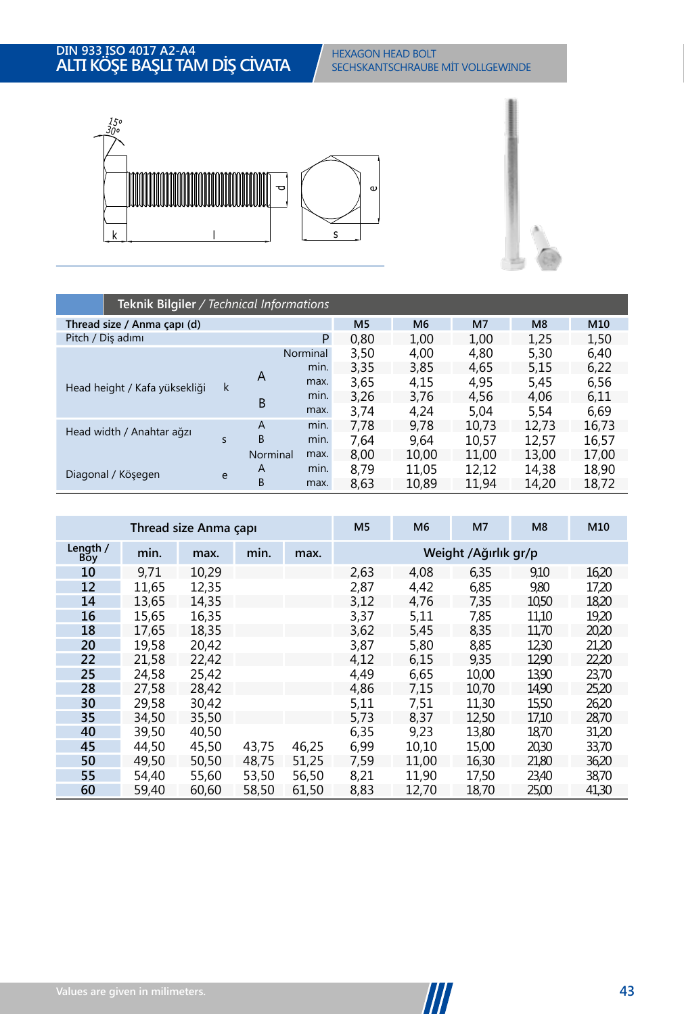

|                               | Teknik Bilgiler / Technical Informations |          |          |                |                |                |                |       |  |  |  |  |
|-------------------------------|------------------------------------------|----------|----------|----------------|----------------|----------------|----------------|-------|--|--|--|--|
| Thread size / Anma çapı (d)   |                                          |          |          | M <sub>5</sub> | M <sub>6</sub> | M <sub>7</sub> | M <sub>8</sub> | M10   |  |  |  |  |
| Pitch / Diş adımı             |                                          |          | P        | 0,80           | 1,00           | 1,00           | 1,25           | 1,50  |  |  |  |  |
|                               |                                          |          | Norminal | 3,50           | 4.00           | 4,80           | 5,30           | 6,40  |  |  |  |  |
|                               |                                          |          | min.     | 3,35           | 3,85           | 4.65           | 5,15           | 6,22  |  |  |  |  |
| Head height / Kafa yüksekliği | k                                        | A        | max.     | 3,65           | 4,15           | 4,95           | 5,45           | 6,56  |  |  |  |  |
|                               |                                          | B        | min.     | 3,26           | 3,76           | 4,56           | 4,06           | 6,11  |  |  |  |  |
|                               |                                          |          | max.     | 3.74           | 4.24           | 5.04           | 5.54           | 6,69  |  |  |  |  |
| Head width / Anahtar ağzı     |                                          | A        | min.     | 7.78           | 9.78           | 10.73          | 12.73          | 16,73 |  |  |  |  |
|                               | $\mathsf{s}$                             | B        | min.     | 7.64           | 9.64           | 10,57          | 12,57          | 16,57 |  |  |  |  |
|                               |                                          | Norminal | max.     | 8.00           | 10,00          | 11.00          | 13,00          | 17,00 |  |  |  |  |
| Diagonal / Köşegen            | e                                        | A        | min.     | 8.79           | 11,05          | 12.12          | 14.38          | 18,90 |  |  |  |  |
|                               |                                          | B        | max.     | 8,63           | 10,89          | 11,94          | 14,20          | 18,72 |  |  |  |  |

|                 | Thread size Anma çapı |       |       |       |      | M <sub>6</sub> | M <sub>7</sub>       | M <sub>8</sub> | M10   |
|-----------------|-----------------------|-------|-------|-------|------|----------------|----------------------|----------------|-------|
| Length /<br>Boy | min.                  | max.  | min.  | max.  |      |                | Weight /Ağırlık gr/p |                |       |
| 10              | 9.71                  | 10.29 |       |       | 2,63 | 4,08           | 6,35                 | 9,10           | 16,20 |
| 12              | 11,65                 | 12,35 |       |       | 2,87 | 4,42           | 6,85                 | 9,80           | 17,20 |
| 14              | 13,65                 | 14,35 |       |       | 3,12 | 4,76           | 7,35                 | 10,50          | 18,20 |
| 16              | 15,65                 | 16,35 |       |       | 3,37 | 5,11           | 7,85                 | 11,10          | 19,20 |
| 18              | 17.65                 | 18.35 |       |       | 3,62 | 5,45           | 8,35                 | 11,70          | 20,20 |
| 20              | 19,58                 | 20,42 |       |       | 3,87 | 5,80           | 8,85                 | 12,30          | 21,20 |
| 22              | 21,58                 | 22.42 |       |       | 4,12 | 6,15           | 9,35                 | 12,90          | 22,20 |
| 25              | 24,58                 | 25,42 |       |       | 4,49 | 6,65           | 10,00                | 13,90          | 23,70 |
| 28              | 27,58                 | 28,42 |       |       | 4,86 | 7,15           | 10,70                | 14,90          | 25,20 |
| 30              | 29.58                 | 30,42 |       |       | 5,11 | 7.51           | 11,30                | 15,50          | 26,20 |
| 35              | 34,50                 | 35,50 |       |       | 5,73 | 8,37           | 12,50                | 17,10          | 28,70 |
| 40              | 39,50                 | 40,50 |       |       | 6,35 | 9.23           | 13,80                | 18,70          | 31,20 |
| 45              | 44,50                 | 45,50 | 43,75 | 46,25 | 6,99 | 10,10          | 15,00                | 20,30          | 33,70 |
| 50              | 49,50                 | 50,50 | 48.75 | 51,25 | 7,59 | 11.00          | 16,30                | 21,80          | 36,20 |
| 55              | 54,40                 | 55,60 | 53,50 | 56,50 | 8,21 | 11,90          | 17,50                | 23,40          | 38,70 |
| 60              | 59,40                 | 60,60 | 58,50 | 61,50 | 8,83 | 12.70          | 18,70                | 25,00          | 41,30 |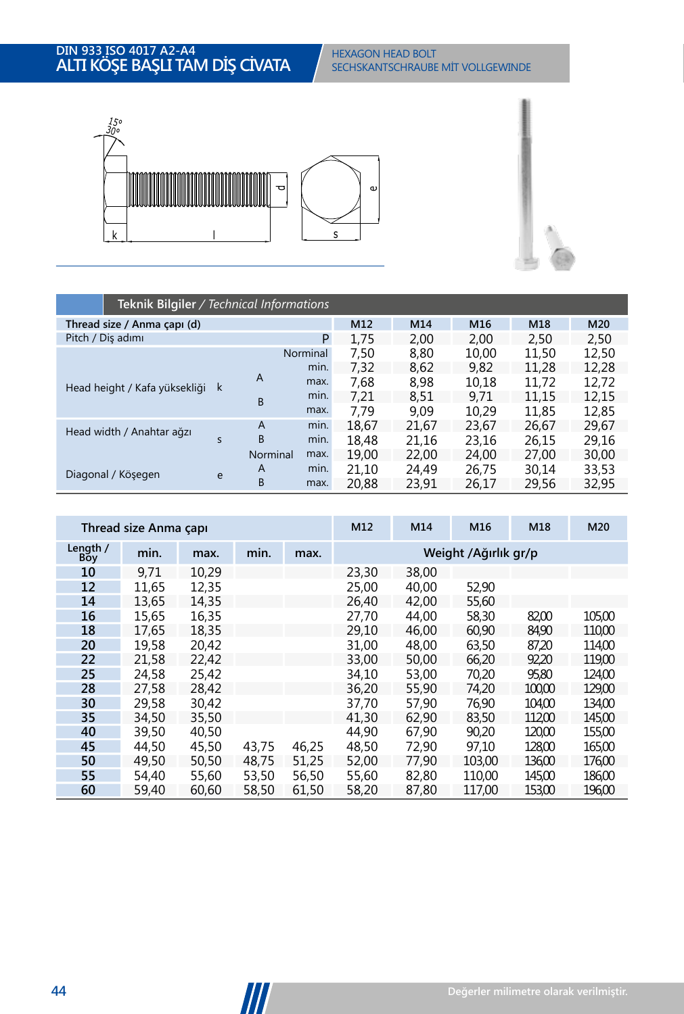

|                               | Teknik Bilgiler / Technical Informations |                |          |       |       |       |       |       |  |  |  |  |
|-------------------------------|------------------------------------------|----------------|----------|-------|-------|-------|-------|-------|--|--|--|--|
| Thread size / Anma çapı (d)   |                                          |                |          | M12   | M14   | M16   | M18   | M20   |  |  |  |  |
| Pitch / Diş adımı             |                                          |                | P        | 1,75  | 2,00  | 2,00  | 2,50  | 2,50  |  |  |  |  |
|                               |                                          |                | Norminal | 7,50  | 8,80  | 10,00 | 11,50 | 12,50 |  |  |  |  |
|                               |                                          |                | min.     | 7,32  | 8,62  | 9.82  | 11,28 | 12,28 |  |  |  |  |
| Head height / Kafa yüksekliği | k                                        | A              | max.     | 7.68  | 8.98  | 10,18 | 11.72 | 12,72 |  |  |  |  |
|                               |                                          | B              | min.     | 7.21  | 8.51  | 9.71  | 11.15 | 12,15 |  |  |  |  |
|                               |                                          |                | max.     | 7.79  | 9.09  | 10,29 | 11.85 | 12,85 |  |  |  |  |
| Head width / Anahtar ağzı     |                                          | $\overline{A}$ | min.     | 18.67 | 21.67 | 23.67 | 26.67 | 29.67 |  |  |  |  |
|                               | $\mathsf{s}$                             | B              | min.     | 18.48 | 21.16 | 23.16 | 26,15 | 29.16 |  |  |  |  |
|                               |                                          | Norminal       | max.     | 19.00 | 22,00 | 24.00 | 27.00 | 30,00 |  |  |  |  |
| Diagonal / Kösegen            | e                                        | A              | min.     | 21.10 | 24.49 | 26,75 | 30.14 | 33,53 |  |  |  |  |
|                               |                                          | B              | max.     | 20.88 | 23,91 | 26,17 | 29,56 | 32,95 |  |  |  |  |

|                 | Thread size Anma capi |       |       |       |       | M14   | M16                  | M18    | M20    |
|-----------------|-----------------------|-------|-------|-------|-------|-------|----------------------|--------|--------|
| Length /<br>Boy | min.                  | max.  | min.  | max.  |       |       | Weight /Ağırlık gr/p |        |        |
| 10              | 9,71                  | 10,29 |       |       | 23,30 | 38,00 |                      |        |        |
| 12              | 11.65                 | 12,35 |       |       | 25,00 | 40.00 | 52,90                |        |        |
| 14              | 13,65                 | 14.35 |       |       | 26.40 | 42.00 | 55,60                |        |        |
| 16              | 15,65                 | 16,35 |       |       | 27.70 | 44.00 | 58,30                | 82,00  | 105,00 |
| 18              | 17.65                 | 18.35 |       |       | 29.10 | 46,00 | 60,90                | 84,90  | 110,00 |
| 20              | 19.58                 | 20.42 |       |       | 31.00 | 48.00 | 63,50                | 87,20  | 114.00 |
| 22              | 21,58                 | 22,42 |       |       | 33,00 | 50,00 | 66,20                | 92,20  | 119,00 |
| 25              | 24,58                 | 25,42 |       |       | 34,10 | 53,00 | 70,20                | 95,80  | 124,00 |
| 28              | 27.58                 | 28.42 |       |       | 36.20 | 55,90 | 74.20                | 100,00 | 129,00 |
| 30              | 29,58                 | 30,42 |       |       | 37,70 | 57,90 | 76,90                | 104,00 | 134,00 |
| 35              | 34,50                 | 35,50 |       |       | 41,30 | 62.90 | 83,50                | 11200  | 145,00 |
| 40              | 39,50                 | 40,50 |       |       | 44,90 | 67.90 | 90,20                | 120,00 | 155,00 |
| 45              | 44,50                 | 45,50 | 43,75 | 46,25 | 48,50 | 72.90 | 97.10                | 128,00 | 165,00 |
| 50              | 49.50                 | 50,50 | 48.75 | 51,25 | 52,00 | 77.90 | 103.00               | 136.00 | 176,00 |
| 55              | 54.40                 | 55,60 | 53,50 | 56,50 | 55,60 | 82.80 | 110.00               | 145,00 | 186,00 |
| 60              | 59,40                 | 60,60 | 58,50 | 61,50 | 58,20 | 87,80 | 117.00               | 153,00 | 196,00 |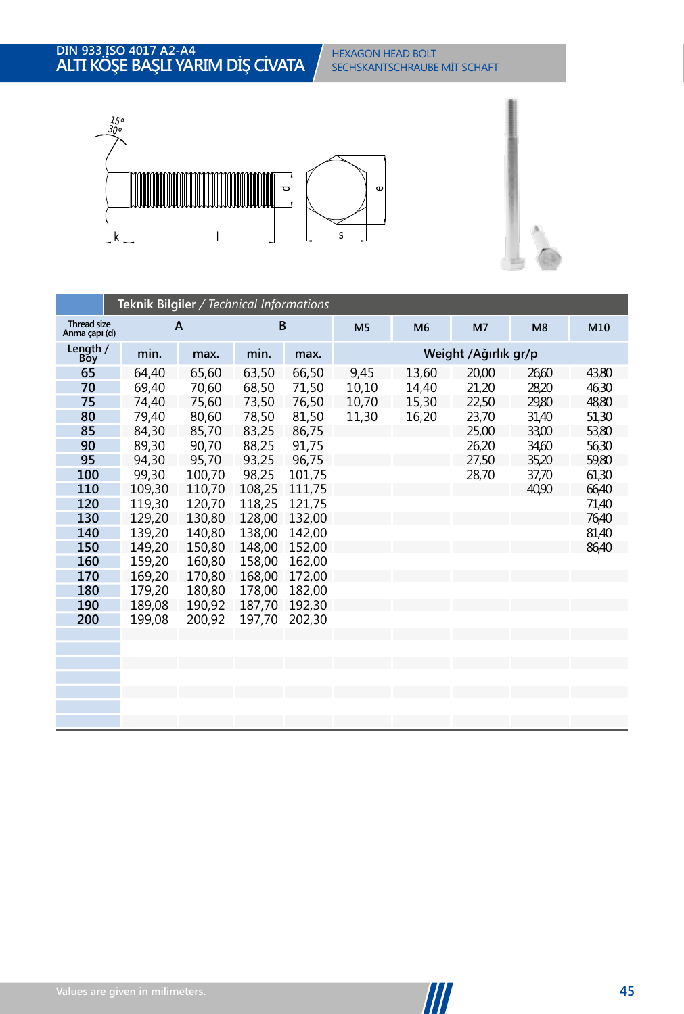#### **IN 933 ISO 4017 A2-A4 LTI KOSE BASLI Y SECHSKANTSCHRAUBE MİT VOLLGEWINDE** DIN 933 ISO 4017 A2-A4<br>**ALTI KÖŞE BAŞLI YARIM DİŞ CİVATA** SECHSKANTSCHRAUBE MİT SCHAFT



|                                     | Teknik Bilgiler / Technical Informations |        |        |        |                |                |                      |                |       |  |  |  |
|-------------------------------------|------------------------------------------|--------|--------|--------|----------------|----------------|----------------------|----------------|-------|--|--|--|
| <b>Thread size</b><br>Anma çapı (d) |                                          | A      | B      |        | M <sub>5</sub> | M <sub>6</sub> | M <sub>7</sub>       | M <sub>8</sub> | M10   |  |  |  |
| Length /<br>Bŏy                     | min.                                     | max.   | min.   | max.   |                |                | Weight /Ağırlık gr/p |                |       |  |  |  |
| 65                                  | 64,40                                    | 65,60  | 63,50  | 66,50  | 9,45           | 13,60          | 20,00                | 26,60          | 43,80 |  |  |  |
| 70                                  | 69,40                                    | 70,60  | 68,50  | 71,50  | 10,10          | 14,40          | 21,20                | 28,20          | 46,30 |  |  |  |
| 75                                  | 74,40                                    | 75,60  | 73,50  | 76,50  | 10,70          | 15,30          | 22,50                | 29,80          | 48,80 |  |  |  |
| 80                                  | 79,40                                    | 80,60  | 78,50  | 81,50  | 11,30          | 16,20          | 23,70                | 31,40          | 51,30 |  |  |  |
| 85                                  | 84,30                                    | 85,70  | 83,25  | 86,75  |                |                | 25,00                | 33,00          | 53,80 |  |  |  |
| 90                                  | 89,30                                    | 90,70  | 88,25  | 91,75  |                |                | 26,20                | 34,60          | 56,30 |  |  |  |
| 95                                  | 94,30                                    | 95,70  | 93,25  | 96,75  |                |                | 27,50                | 35,20          | 59,80 |  |  |  |
| 100                                 | 99,30                                    | 100,70 | 98,25  | 101,75 |                |                | 28,70                | 37,70          | 61,30 |  |  |  |
| 110                                 | 109,30                                   | 110,70 | 108.25 | 111,75 |                |                |                      | 40.90          | 66,40 |  |  |  |
| 120                                 | 119,30                                   | 120,70 | 118,25 | 121,75 |                |                |                      |                | 71,40 |  |  |  |
| 130                                 | 129,20                                   | 130,80 | 128,00 | 132,00 |                |                |                      |                | 76,40 |  |  |  |
| 140                                 | 139,20                                   | 140,80 | 138,00 | 142,00 |                |                |                      |                | 81,40 |  |  |  |
| 150                                 | 149,20                                   | 150,80 | 148,00 | 152,00 |                |                |                      |                | 86,40 |  |  |  |
| 160                                 | 159,20                                   | 160,80 | 158,00 | 162,00 |                |                |                      |                |       |  |  |  |
| 170                                 | 169,20                                   | 170,80 | 168,00 | 172,00 |                |                |                      |                |       |  |  |  |
| 180                                 | 179,20                                   | 180,80 | 178.00 | 182,00 |                |                |                      |                |       |  |  |  |
| 190                                 | 189,08                                   | 190,92 | 187,70 | 192,30 |                |                |                      |                |       |  |  |  |
| 200                                 | 199,08                                   | 200,92 | 197,70 | 202,30 |                |                |                      |                |       |  |  |  |
|                                     |                                          |        |        |        |                |                |                      |                |       |  |  |  |
|                                     |                                          |        |        |        |                |                |                      |                |       |  |  |  |
|                                     |                                          |        |        |        |                |                |                      |                |       |  |  |  |
|                                     |                                          |        |        |        |                |                |                      |                |       |  |  |  |
|                                     |                                          |        |        |        |                |                |                      |                |       |  |  |  |
|                                     |                                          |        |        |        |                |                |                      |                |       |  |  |  |
|                                     |                                          |        |        |        |                |                |                      |                |       |  |  |  |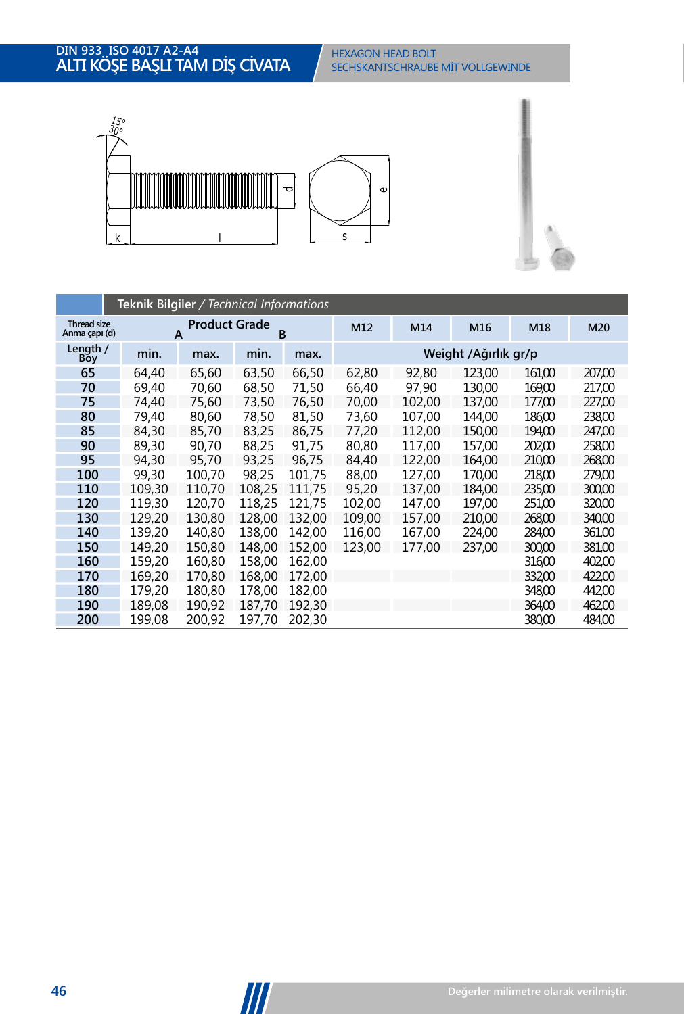#### **IN 933 ISO 4017 A2-A4 LTI KOSE BASLI T**/ **SECHSKANTSCHRAUBE MİT VOLLGEWINDE** DIN 933, ISO 4017 A2-A4<br>**ALTI KÖŞE BAŞLI TAM DİŞ CİVATA** SECHSKANTSCHRAUBE MİT VOLLGEWINDE



|                              | Teknik Bilgiler / Technical Informations |                           |        |        |        |                      |        |        |        |  |  |  |  |
|------------------------------|------------------------------------------|---------------------------|--------|--------|--------|----------------------|--------|--------|--------|--|--|--|--|
| Thread size<br>Anma capi (d) |                                          | <b>Product Grade</b><br>A | B      |        | M12    | M14                  | M16    | M18    | M20    |  |  |  |  |
| Length /<br><b>Boy</b>       | min.                                     | max.                      | min.   | max.   |        | Weight /Ağırlık gr/p |        |        |        |  |  |  |  |
| 65                           | 64,40                                    | 65,60                     | 63,50  | 66,50  | 62,80  | 92,80                | 123.00 | 16100  | 207,00 |  |  |  |  |
| 70                           | 69,40                                    | 70.60                     | 68,50  | 71,50  | 66,40  | 97,90                | 130.00 | 169,00 | 217,00 |  |  |  |  |
| 75                           | 74,40                                    | 75,60                     | 73,50  | 76.50  | 70,00  | 102.00               | 137.00 | 177.00 | 227,00 |  |  |  |  |
| 80                           | 79.40                                    | 80.60                     | 78,50  | 81.50  | 73.60  | 107.00               | 144.00 | 186.00 | 238.00 |  |  |  |  |
| 85                           | 84,30                                    | 85.70                     | 83,25  | 86.75  | 77,20  | 112.00               | 150.00 | 194.00 | 247.00 |  |  |  |  |
| 90                           | 89.30                                    | 90.70                     | 88,25  | 91,75  | 80.80  | 117.00               | 157,00 | 202.00 | 258.00 |  |  |  |  |
| 95                           | 94.30                                    | 95.70                     | 93,25  | 96.75  | 84,40  | 122,00               | 164.00 | 210,00 | 268,00 |  |  |  |  |
| 100                          | 99.30                                    | 100.70                    | 98.25  | 101.75 | 88,00  | 127.00               | 170.00 | 218.00 | 279,00 |  |  |  |  |
| 110                          | 109.30                                   | 110.70                    | 108.25 | 111.75 | 95.20  | 137.00               | 184.00 | 235.00 | 300.00 |  |  |  |  |
| 120                          | 119,30                                   | 120.70                    | 118.25 | 121.75 | 102.00 | 147.00               | 197.00 | 251.00 | 320,00 |  |  |  |  |
| 130                          | 129.20                                   | 130.80                    | 128.00 | 132.00 | 109.00 | 157,00               | 210.00 | 268.00 | 340,00 |  |  |  |  |
| 140                          | 139,20                                   | 140.80                    | 138.00 | 142.00 | 116.00 | 167,00               | 224,00 | 284.00 | 361,00 |  |  |  |  |
| 150                          | 149.20                                   | 150.80                    | 148.00 | 152.00 | 123,00 | 177.00               | 237.00 | 300.00 | 381,00 |  |  |  |  |
| 160                          | 159.20                                   | 160.80                    | 158.00 | 162.00 |        |                      |        | 316.00 | 402.00 |  |  |  |  |
| 170                          | 169.20                                   | 170.80                    | 168,00 | 172,00 |        |                      |        | 332,00 | 422,00 |  |  |  |  |
| 180                          | 179.20                                   | 180,80                    | 178.00 | 182.00 |        |                      |        | 348,00 | 442,00 |  |  |  |  |
| 190                          | 189,08                                   | 190.92                    | 187,70 | 192,30 |        |                      |        | 364,00 | 462,00 |  |  |  |  |
| 200                          | 199.08                                   | 200.92                    | 197.70 | 202.30 |        |                      |        | 380,00 | 484.00 |  |  |  |  |

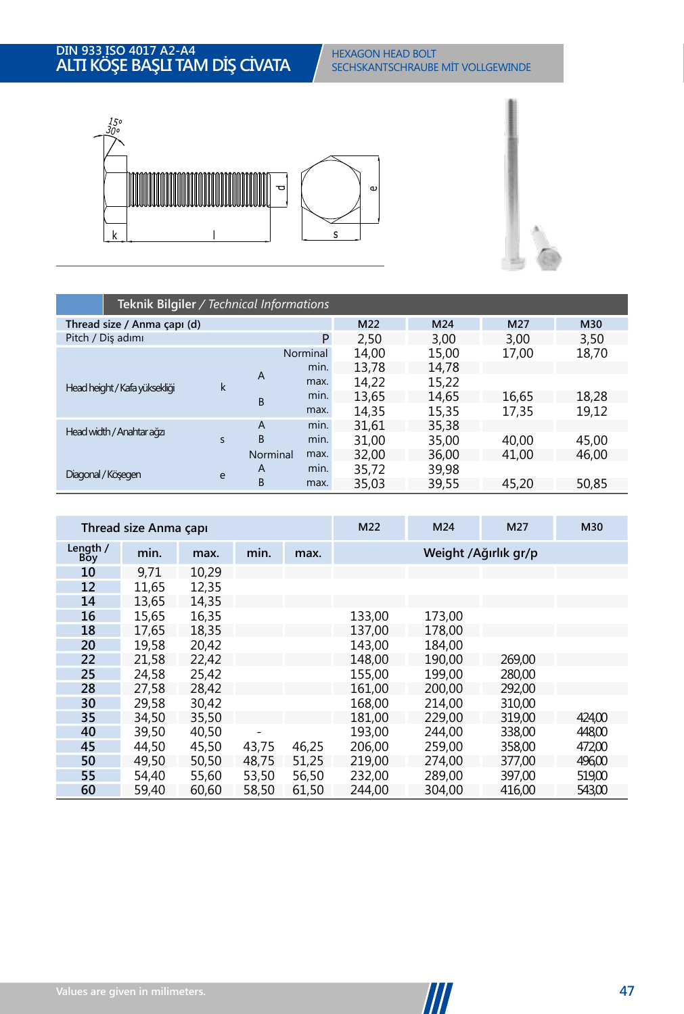

|                               | Teknik Bilgiler / Technical Informations |                |          |       |       |       |       |  |  |  |  |  |
|-------------------------------|------------------------------------------|----------------|----------|-------|-------|-------|-------|--|--|--|--|--|
| Thread size / Anma çapı (d)   |                                          |                |          | M22   | M24   | M27   | M30   |  |  |  |  |  |
| Pitch / Dis adımı             |                                          |                | P        | 2,50  | 3,00  | 3,00  | 3,50  |  |  |  |  |  |
|                               |                                          |                | Norminal | 14,00 | 15,00 | 17.00 | 18,70 |  |  |  |  |  |
|                               |                                          | $\overline{A}$ | min.     | 13,78 | 14,78 |       |       |  |  |  |  |  |
| Head height / Kafa yüksekliği | $\mathsf k$                              |                | max.     | 14,22 | 15,22 |       |       |  |  |  |  |  |
|                               |                                          | B              | min.     | 13,65 | 14,65 | 16,65 | 18,28 |  |  |  |  |  |
|                               |                                          |                | max.     | 14.35 | 15,35 | 17.35 | 19,12 |  |  |  |  |  |
| Head width / Anahtar ağzı     |                                          | A              | min.     | 31,61 | 35,38 |       |       |  |  |  |  |  |
|                               | $\overline{\mathbf{S}}$                  | B              | min.     | 31.00 | 35,00 | 40.00 | 45,00 |  |  |  |  |  |
|                               |                                          | Norminal       | max.     | 32.00 | 36,00 | 41.00 | 46.00 |  |  |  |  |  |
| Diagonal / Kösegen            | e                                        | $\overline{A}$ | min.     | 35,72 | 39,98 |       |       |  |  |  |  |  |
|                               |                                          | B              | max.     | 35,03 | 39,55 | 45,20 | 50,85 |  |  |  |  |  |

|                 | Thread size Anma capi |       |       |       |        | M24    | M27                  | M30    |
|-----------------|-----------------------|-------|-------|-------|--------|--------|----------------------|--------|
| Length /<br>Boy | min.                  | max.  | min.  | max.  |        |        | Weight /Ağırlık gr/p |        |
| 10              | 9,71                  | 10,29 |       |       |        |        |                      |        |
| 12              | 11,65                 | 12,35 |       |       |        |        |                      |        |
| 14              | 13,65                 | 14.35 |       |       |        |        |                      |        |
| 16              | 15,65                 | 16,35 |       |       | 133,00 | 173,00 |                      |        |
| 18              | 17.65                 | 18.35 |       |       | 137.00 | 178.00 |                      |        |
| 20              | 19.58                 | 20,42 |       |       | 143.00 | 184,00 |                      |        |
| 22              | 21,58                 | 22,42 |       |       | 148,00 | 190.00 | 269,00               |        |
| 25              | 24,58                 | 25,42 |       |       | 155.00 | 199.00 | 280,00               |        |
| 28              | 27.58                 | 28,42 |       |       | 161.00 | 200.00 | 292.00               |        |
| 30              | 29,58                 | 30,42 |       |       | 168,00 | 214,00 | 310.00               |        |
| 35              | 34,50                 | 35,50 |       |       | 181.00 | 229.00 | 319,00               | 424,00 |
| 40              | 39,50                 | 40.50 |       |       | 193.00 | 244.00 | 338.00               | 448,00 |
| 45              | 44.50                 | 45.50 | 43.75 | 46,25 | 206.00 | 259.00 | 358.00               | 472,00 |
| 50              | 49,50                 | 50,50 | 48,75 | 51,25 | 219,00 | 274,00 | 377,00               | 496,00 |
| 55              | 54,40                 | 55,60 | 53,50 | 56,50 | 232,00 | 289.00 | 397,00               | 519,00 |
| 60              | 59,40                 | 60.60 | 58,50 | 61,50 | 244.00 | 304,00 | 416.00               | 543,00 |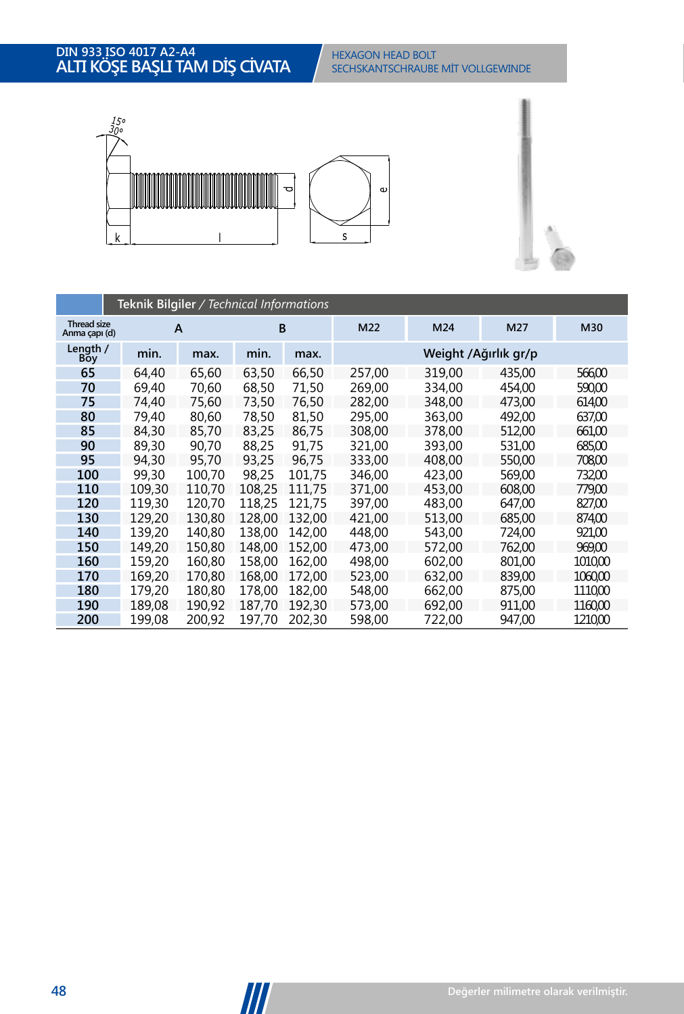# **ALTIN 933 ISO 4017 A2-A4 HTT KÖSE BASHT DIN 933 ISO 4017 A2-A4<br><b>ALTI KÖŞE BAŞLI TAM DİŞ CİVATA** SECHSKANTSCHRAUBE MİT VOLLGEWINDE



|                                     | Teknik Bilgiler / Technical Informations |        |        |        |        |                      |        |         |  |  |  |  |  |
|-------------------------------------|------------------------------------------|--------|--------|--------|--------|----------------------|--------|---------|--|--|--|--|--|
| <b>Thread size</b><br>Anma çapı (d) |                                          | A      | B      |        | M22    | M24                  | M27    | M30     |  |  |  |  |  |
| Length /<br>Boy                     | min.                                     | max.   | min.   | max.   |        | Weight /Ağırlık gr/p |        |         |  |  |  |  |  |
| 65                                  | 64,40                                    | 65,60  | 63,50  | 66,50  | 257.00 | 319.00               | 435.00 | 566,00  |  |  |  |  |  |
| 70                                  | 69,40                                    | 70.60  | 68,50  | 71,50  | 269.00 | 334,00               | 454.00 | 590,00  |  |  |  |  |  |
| 75                                  | 74,40                                    | 75,60  | 73,50  | 76,50  | 282,00 | 348,00               | 473,00 | 614,00  |  |  |  |  |  |
| 80                                  | 79,40                                    | 80.60  | 78,50  | 81,50  | 295,00 | 363,00               | 492.00 | 637,00  |  |  |  |  |  |
| 85                                  | 84,30                                    | 85.70  | 83.25  | 86.75  | 308,00 | 378.00               | 512.00 | 66100   |  |  |  |  |  |
| 90                                  | 89,30                                    | 90.70  | 88,25  | 91.75  | 321.00 | 393.00               | 531.00 | 685,00  |  |  |  |  |  |
| 95                                  | 94.30                                    | 95.70  | 93,25  | 96.75  | 333,00 | 408,00               | 550,00 | 708,00  |  |  |  |  |  |
| 100                                 | 99,30                                    | 100.70 | 98.25  | 101.75 | 346.00 | 423.00               | 569,00 | 732,00  |  |  |  |  |  |
| 110                                 | 109,30                                   | 110.70 | 108.25 | 111.75 | 371.00 | 453,00               | 608.00 | 779,00  |  |  |  |  |  |
| 120                                 | 119,30                                   | 120,70 | 118.25 | 121.75 | 397.00 | 483,00               | 647.00 | 827,00  |  |  |  |  |  |
| 130                                 | 129,20                                   | 130.80 | 128.00 | 132.00 | 421.00 | 513,00               | 685.00 | 874,00  |  |  |  |  |  |
| 140                                 | 139,20                                   | 140.80 | 138.00 | 142.00 | 448,00 | 543,00               | 724,00 | 921,00  |  |  |  |  |  |
| 150                                 | 149.20                                   | 150.80 | 148.00 | 152.00 | 473,00 | 572.00               | 762.00 | 969.00  |  |  |  |  |  |
| 160                                 | 159.20                                   | 160.80 | 158.00 | 162.00 | 498.00 | 602.00               | 801.00 | 1010.00 |  |  |  |  |  |
| 170                                 | 169.20                                   | 170.80 | 168,00 | 172,00 | 523,00 | 632.00               | 839.00 | 1060,00 |  |  |  |  |  |
| 180                                 | 179.20                                   | 180.80 | 178.00 | 182.00 | 548.00 | 662,00               | 875.00 | 1110,00 |  |  |  |  |  |
| 190                                 | 189.08                                   | 190.92 | 187.70 | 192,30 | 573.00 | 692.00               | 911.00 | 1160.00 |  |  |  |  |  |
| 200                                 | 199.08                                   | 200.92 | 197,70 | 202,30 | 598.00 | 722,00               | 947.00 | 1210.00 |  |  |  |  |  |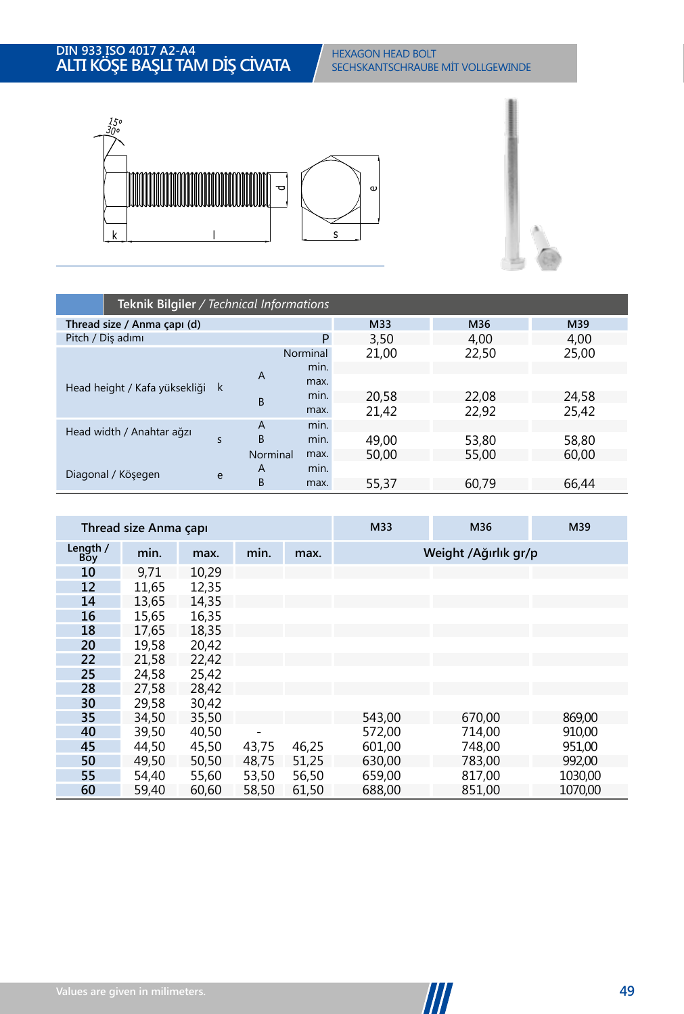

|                               | Teknik Bilgiler / Technical Informations |          |          |       |       |       |  |  |  |  |  |  |
|-------------------------------|------------------------------------------|----------|----------|-------|-------|-------|--|--|--|--|--|--|
| Thread size / Anma çapı (d)   |                                          |          |          | M33   | M36   | M39   |  |  |  |  |  |  |
| Pitch / Diş adımı             |                                          |          | P        | 3,50  | 4.00  | 4,00  |  |  |  |  |  |  |
|                               |                                          |          | Norminal | 21,00 | 22,50 | 25,00 |  |  |  |  |  |  |
|                               |                                          | A        | min.     |       |       |       |  |  |  |  |  |  |
| Head height / Kafa yüksekliği | k                                        |          | max.     |       |       |       |  |  |  |  |  |  |
|                               |                                          | B        | min.     | 20.58 | 22.08 | 24,58 |  |  |  |  |  |  |
|                               |                                          |          | max.     | 21,42 | 22,92 | 25,42 |  |  |  |  |  |  |
| Head width / Anahtar ağzı     |                                          | A        | min.     |       |       |       |  |  |  |  |  |  |
|                               | S                                        | B        | min.     | 49.00 | 53,80 | 58,80 |  |  |  |  |  |  |
|                               |                                          | Norminal | max.     | 50,00 | 55,00 | 60,00 |  |  |  |  |  |  |
| Diagonal / Köşegen            | e                                        | A        | min.     |       |       |       |  |  |  |  |  |  |
|                               |                                          | B        | max.     | 55,37 | 60,79 | 66.44 |  |  |  |  |  |  |

|                 | Thread size Anma capi |       |       |       | M33                  | M36    | M39     |  |  |
|-----------------|-----------------------|-------|-------|-------|----------------------|--------|---------|--|--|
| Length /<br>Boy | min.                  | max.  | min.  | max.  | Weight /Ağırlık gr/p |        |         |  |  |
| 10              | 9,71                  | 10,29 |       |       |                      |        |         |  |  |
| 12              | 11,65                 | 12,35 |       |       |                      |        |         |  |  |
| 14              | 13,65                 | 14,35 |       |       |                      |        |         |  |  |
| 16              | 15,65                 | 16,35 |       |       |                      |        |         |  |  |
| 18              | 17.65                 | 18,35 |       |       |                      |        |         |  |  |
| 20              | 19,58                 | 20,42 |       |       |                      |        |         |  |  |
| 22              | 21,58                 | 22,42 |       |       |                      |        |         |  |  |
| 25              | 24,58                 | 25,42 |       |       |                      |        |         |  |  |
| 28              | 27.58                 | 28,42 |       |       |                      |        |         |  |  |
| 30              | 29,58                 | 30,42 |       |       |                      |        |         |  |  |
| 35              | 34.50                 | 35,50 |       |       | 543,00               | 670,00 | 869,00  |  |  |
| 40              | 39,50                 | 40.50 |       |       | 572.00               | 714.00 | 910,00  |  |  |
| 45              | 44,50                 | 45,50 | 43,75 | 46,25 | 601.00               | 748.00 | 951.00  |  |  |
| 50              | 49,50                 | 50,50 | 48,75 | 51,25 | 630,00               | 783,00 | 992,00  |  |  |
| 55              | 54,40                 | 55,60 | 53,50 | 56,50 | 659,00               | 817,00 | 1030,00 |  |  |
| 60              | 59,40                 | 60,60 | 58,50 | 61,50 | 688,00               | 851.00 | 1070.00 |  |  |